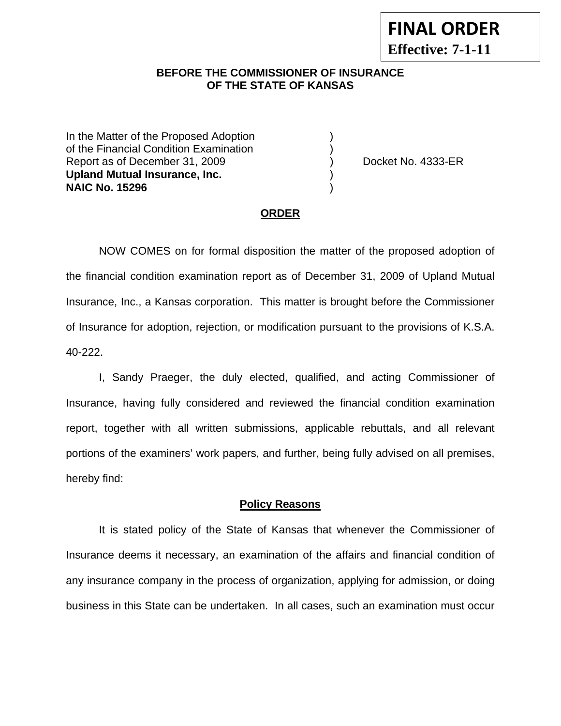### **BEFORE THE COMMISSIONER OF INSURANCE OF THE STATE OF KANSAS**

In the Matter of the Proposed Adoption of the Financial Condition Examination ) Report as of December 31, 2009 (and Contact Contact Contact No. 4333-ER **Upland Mutual Insurance, Inc.** ) **NAIC No. 15296** )

#### **ORDER**

 NOW COMES on for formal disposition the matter of the proposed adoption of the financial condition examination report as of December 31, 2009 of Upland Mutual Insurance, Inc., a Kansas corporation. This matter is brought before the Commissioner of Insurance for adoption, rejection, or modification pursuant to the provisions of K.S.A. 40-222.

 I, Sandy Praeger, the duly elected, qualified, and acting Commissioner of Insurance, having fully considered and reviewed the financial condition examination report, together with all written submissions, applicable rebuttals, and all relevant portions of the examiners' work papers, and further, being fully advised on all premises, hereby find:

#### **Policy Reasons**

 It is stated policy of the State of Kansas that whenever the Commissioner of Insurance deems it necessary, an examination of the affairs and financial condition of any insurance company in the process of organization, applying for admission, or doing business in this State can be undertaken. In all cases, such an examination must occur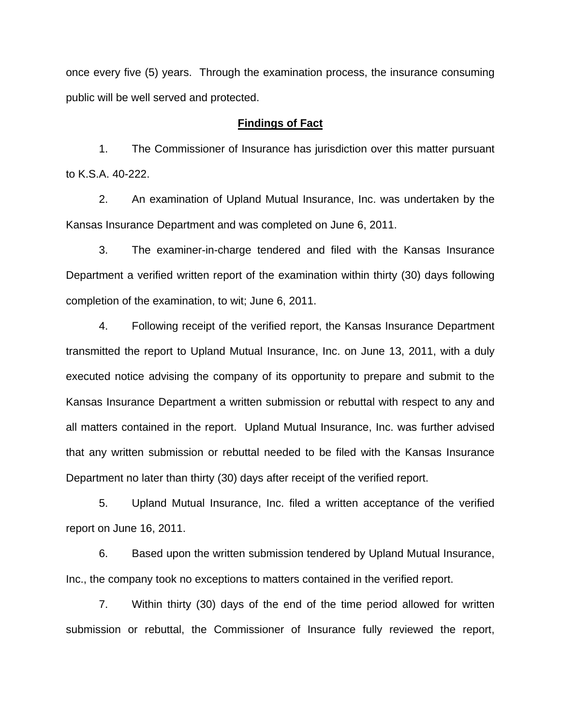once every five (5) years. Through the examination process, the insurance consuming public will be well served and protected.

#### **Findings of Fact**

 1. The Commissioner of Insurance has jurisdiction over this matter pursuant to K.S.A. 40-222.

 2. An examination of Upland Mutual Insurance, Inc. was undertaken by the Kansas Insurance Department and was completed on June 6, 2011.

 3. The examiner-in-charge tendered and filed with the Kansas Insurance Department a verified written report of the examination within thirty (30) days following completion of the examination, to wit; June 6, 2011.

 4. Following receipt of the verified report, the Kansas Insurance Department transmitted the report to Upland Mutual Insurance, Inc. on June 13, 2011, with a duly executed notice advising the company of its opportunity to prepare and submit to the Kansas Insurance Department a written submission or rebuttal with respect to any and all matters contained in the report. Upland Mutual Insurance, Inc. was further advised that any written submission or rebuttal needed to be filed with the Kansas Insurance Department no later than thirty (30) days after receipt of the verified report.

 5. Upland Mutual Insurance, Inc. filed a written acceptance of the verified report on June 16, 2011.

6. Based upon the written submission tendered by Upland Mutual Insurance, Inc., the company took no exceptions to matters contained in the verified report.

 7. Within thirty (30) days of the end of the time period allowed for written submission or rebuttal, the Commissioner of Insurance fully reviewed the report,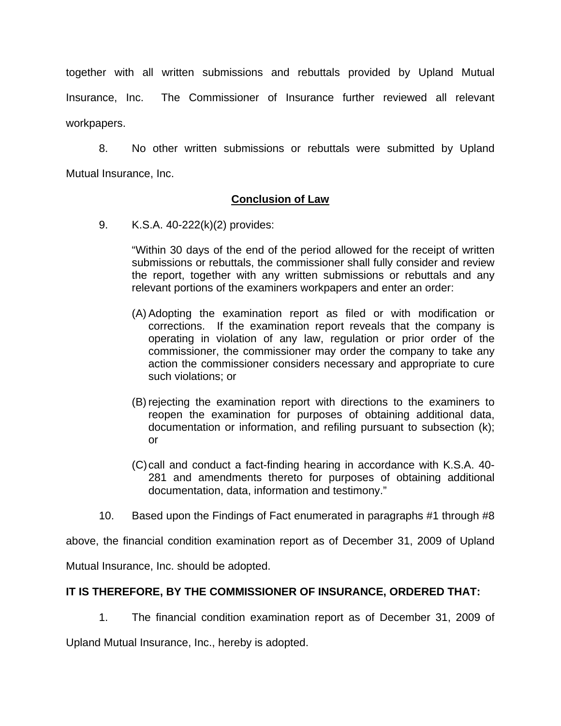together with all written submissions and rebuttals provided by Upland Mutual Insurance, Inc. The Commissioner of Insurance further reviewed all relevant workpapers.

 8. No other written submissions or rebuttals were submitted by Upland Mutual Insurance, Inc.

### **Conclusion of Law**

9. K.S.A. 40-222(k)(2) provides:

"Within 30 days of the end of the period allowed for the receipt of written submissions or rebuttals, the commissioner shall fully consider and review the report, together with any written submissions or rebuttals and any relevant portions of the examiners workpapers and enter an order:

- (A) Adopting the examination report as filed or with modification or corrections. If the examination report reveals that the company is operating in violation of any law, regulation or prior order of the commissioner, the commissioner may order the company to take any action the commissioner considers necessary and appropriate to cure such violations; or
- (B) rejecting the examination report with directions to the examiners to reopen the examination for purposes of obtaining additional data, documentation or information, and refiling pursuant to subsection (k); or
- (C) call and conduct a fact-finding hearing in accordance with K.S.A. 40- 281 and amendments thereto for purposes of obtaining additional documentation, data, information and testimony."
- 10. Based upon the Findings of Fact enumerated in paragraphs #1 through #8

above, the financial condition examination report as of December 31, 2009 of Upland

Mutual Insurance, Inc. should be adopted.

# **IT IS THEREFORE, BY THE COMMISSIONER OF INSURANCE, ORDERED THAT:**

1. The financial condition examination report as of December 31, 2009 of

Upland Mutual Insurance, Inc., hereby is adopted.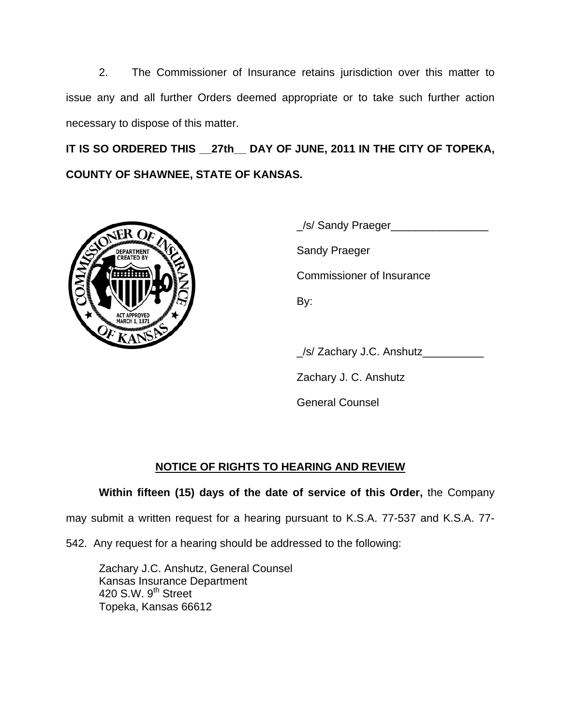2. The Commissioner of Insurance retains jurisdiction over this matter to issue any and all further Orders deemed appropriate or to take such further action necessary to dispose of this matter.

**IT IS SO ORDERED THIS \_\_27th\_\_ DAY OF JUNE, 2011 IN THE CITY OF TOPEKA, COUNTY OF SHAWNEE, STATE OF KANSAS.** 



|                                        | _/s/ Sandy Praeger               |
|----------------------------------------|----------------------------------|
| <b>DEPARTMENT</b><br><b>CREATED BY</b> | <b>Sandy Praeger</b>             |
|                                        | <b>Commissioner of Insurance</b> |
| <b>ACT APPROVED</b>                    | By:                              |
|                                        |                                  |

\_/s/ Zachary J.C. Anshutz\_\_\_\_\_\_\_\_\_\_

Zachary J. C. Anshutz

General Counsel

# **NOTICE OF RIGHTS TO HEARING AND REVIEW**

# **Within fifteen (15) days of the date of service of this Order,** the Company

may submit a written request for a hearing pursuant to K.S.A. 77-537 and K.S.A. 77-

542. Any request for a hearing should be addressed to the following:

 Zachary J.C. Anshutz, General Counsel Kansas Insurance Department 420 S.W. 9<sup>th</sup> Street Topeka, Kansas 66612